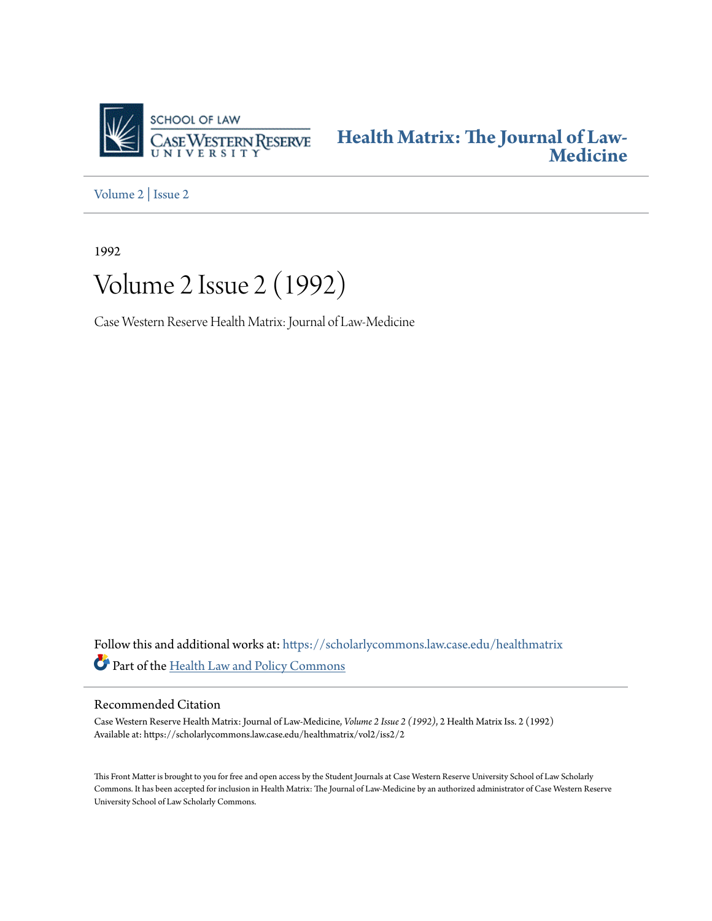

**[Health Matrix: The Journal of Law-](https://scholarlycommons.law.case.edu/healthmatrix?utm_source=scholarlycommons.law.case.edu%2Fhealthmatrix%2Fvol2%2Fiss2%2F2&utm_medium=PDF&utm_campaign=PDFCoverPages)[Medicine](https://scholarlycommons.law.case.edu/healthmatrix?utm_source=scholarlycommons.law.case.edu%2Fhealthmatrix%2Fvol2%2Fiss2%2F2&utm_medium=PDF&utm_campaign=PDFCoverPages)**

[Volume 2](https://scholarlycommons.law.case.edu/healthmatrix/vol2?utm_source=scholarlycommons.law.case.edu%2Fhealthmatrix%2Fvol2%2Fiss2%2F2&utm_medium=PDF&utm_campaign=PDFCoverPages) | [Issue 2](https://scholarlycommons.law.case.edu/healthmatrix/vol2/iss2?utm_source=scholarlycommons.law.case.edu%2Fhealthmatrix%2Fvol2%2Fiss2%2F2&utm_medium=PDF&utm_campaign=PDFCoverPages)

1992

# Volume 2 Issue 2 (1992)

Case Western Reserve Health Matrix: Journal of Law-Medicine

Follow this and additional works at: [https://scholarlycommons.law.case.edu/healthmatrix](https://scholarlycommons.law.case.edu/healthmatrix?utm_source=scholarlycommons.law.case.edu%2Fhealthmatrix%2Fvol2%2Fiss2%2F2&utm_medium=PDF&utm_campaign=PDFCoverPages) Part of the [Health Law and Policy Commons](http://network.bepress.com/hgg/discipline/901?utm_source=scholarlycommons.law.case.edu%2Fhealthmatrix%2Fvol2%2Fiss2%2F2&utm_medium=PDF&utm_campaign=PDFCoverPages)

### Recommended Citation

Case Western Reserve Health Matrix: Journal of Law-Medicine, *Volume 2 Issue 2 (1992)*, 2 Health MatrixIss. 2 (1992) Available at: https://scholarlycommons.law.case.edu/healthmatrix/vol2/iss2/2

This Front Matter is brought to you for free and open access by the Student Journals at Case Western Reserve University School of Law Scholarly Commons. It has been accepted for inclusion in Health Matrix: The Journal of Law-Medicine by an authorized administrator of Case Western Reserve University School of Law Scholarly Commons.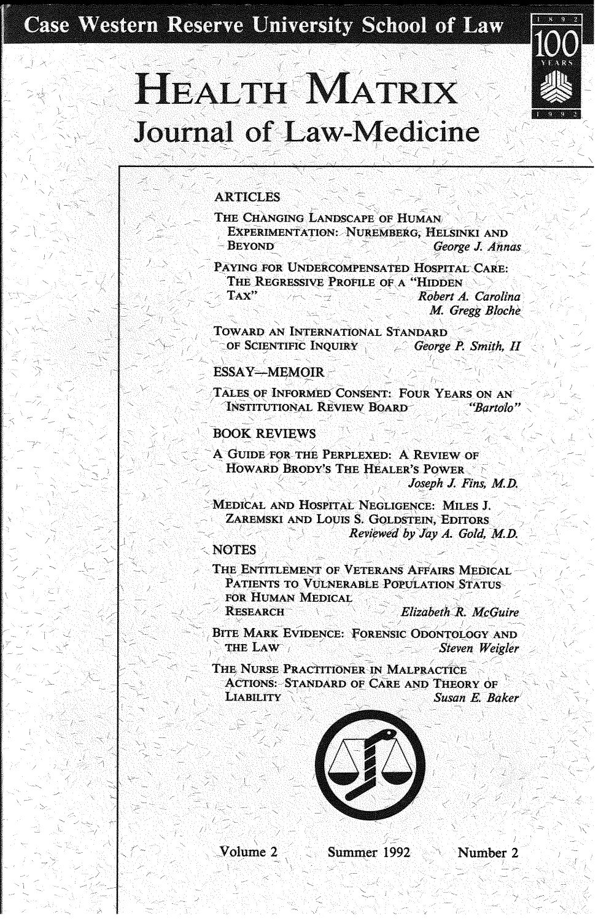Case Western Reserve University School of Law



# **HEALTH MATRIX Journal of Law-Medicine**

### **ARTICLES**

- THE CHANGING LANDSCAPE OF HUMAN **EXPERIMENTATION: NUREMBERG, HELSINKI AND BEYOND** George J. Annas
- PAYING FOR UNDERCOMPENSATED HOSPITAL CARE: THE REGRESSIVE PROFILE OF A "HIDDEN TAX" Robert A. Carolina

M. Gregg Bloche

TOWARD AN INTERNATIONAL STANDARD of Scientific Inquiry **George P. Smith, H.** 

#### ESSAY-MEMOIR-

TALES OF INFORMED CONSENT: FOUR YEARS ON AN INSTITUTIONAL REVIEW BOARD "Bartolo"

#### **BOOK REVIEWS**

A GUIDE FOR THE PERPLEXED: A REVIEW OF HOWARD BRODY'S THE HEALER'S POWER Joseph J. Fins, M.D.

MEDICAL AND HOSPITAL NEGLIGENCE: MILES J. ZAREMSKI AND LOUIS S. GOLDSTEIN, EDITORS Reviewed by Jav A. Gold. M.D.

**NOTES** 

THE ENTITLEMENT OF VETERANS AFFAIRS MEDICAL PATIENTS TO VULNERABLE POPULATION STATUS FOR HUMAN MEDICAL **RESEARCH** 

Elizabeth R. McGuire

BITE MARK EVIDENCE: FORENSIC ODONTOLOGY AND THE LAW Steven Weigler

THE NURSE PRACTITIONER IN MALPRACTICE **ACTIONS: STANDARD OF CARE AND THEORY OF LIABILITY** Susan E. Baker



Volume 2

Summer 1992

Number 2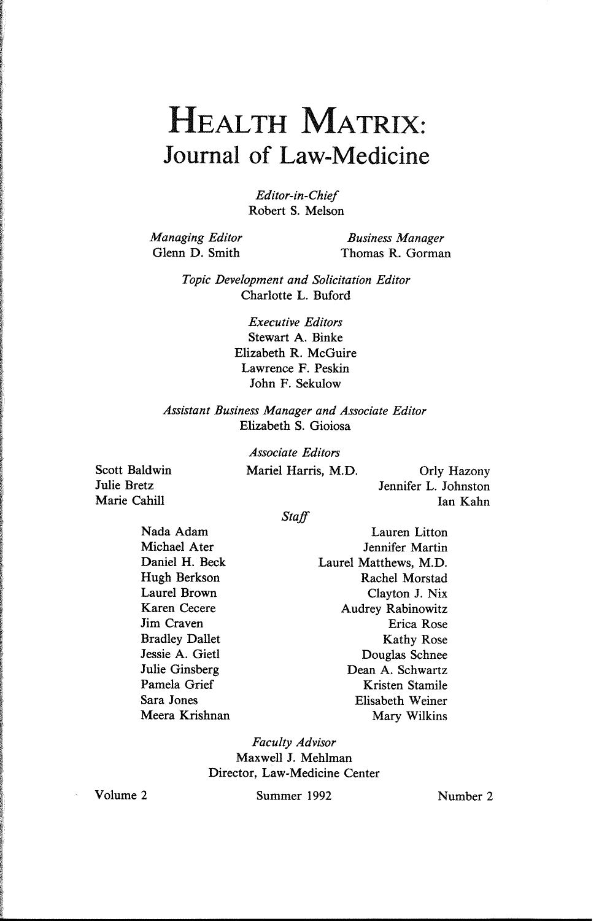### **HEALTH** MATRIX: Journal of Law-Medicine

*Editor-in-Chief*  Robert S. Melson

*Managing Editor*  Glenn D. Smith

*Business Manager*  Thomas R. Gorman

*Topic Development and Solicitation Editor*  Charlotte L. Buford

> *Executive Editors*  Stewart A. Binke Elizabeth R. McGuire Lawrence F. Peskin John F. Sekulow

*Assistant Business Manager and Associate Editor*  Elizabeth S. Gioiosa

Scott Baldwin Julie Bretz Marie Cahill

*Associate Editors*  Mariel Harris, M.D. Orly Hazony

Jennifer L. Johnston Ian Kahn

*Staff* 

Nada Adam Michael Ater Daniel H. Beck Hugh Berkson Laurel Brown Karen Cecere Jim Craven Bradley Dallet Jessie A. Gietl Julie Ginsberg Pamela Grief Sara Jones Meera Krishnan

Lauren Litton Jennifer Martin Laurel Matthews, M.D. Rachel Morstad Clayton J. Nix Audrey Rabinowitz Erica Rose Kathy Rose Douglas Schnee Dean A. Schwartz Kristen Stamile Elisabeth Weiner Mary Wilkins

*Faculty Advisor*  Maxwell J. Mehlman Director, Law-Medicine Center

Volume 2 Summer 1992 Number 2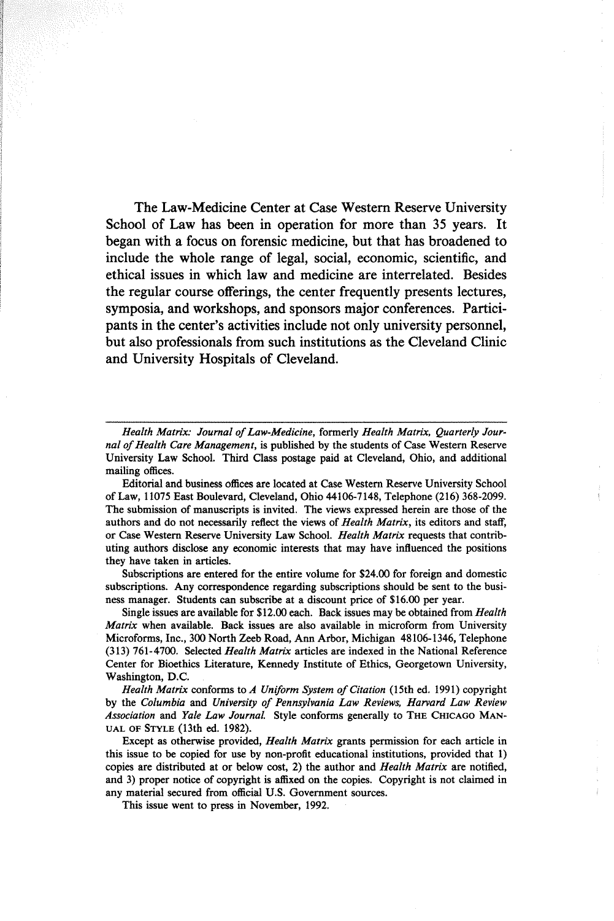The Law-Medicine Center at Case Western Reserve University School of Law has been in operation for more than 35 years. It began with a focus on forensic medicine, but that has broadened to include the whole range of legal, social, economic, scientific, and ethical issues in which law and medicine are interrelated. Besides the regular course offerings, the center frequently presents lectures, symposia, and workshops, and sponsors major conferences. Participants in the center's activities include not only university personnel, but also professionals from such institutions as the Cleveland Clinic and University Hospitals of Cleveland.

*Health Matrix: Journal of Law-Medicine,* formerly *Health Matrix, Quarterly Journal of Health Care Management,* is published by the students of Case Western Reserve University Law School. Third Class postage paid at Cleveland, Ohio, and additional mailing offices.

Editorial and business offices are located at Case Western Reserve University School of Law, 11075 East Boulevard, Cleveland, Ohio 44106-7148, Telephone (216) 368-2099. The submission of manuscripts is invited. The views expressed herein are those of the authors and do not necessarily reflect the views of *Health Matrix,* its editors and staff, or Case Western Reserve University Law School. *Health Matrix* requests that contributing authors disclose any economic interests that may have influenced the positions they have taken in articles.

Subscriptions are entered for the entire volume for \$24.00 for foreign and domestic subscriptions. Any correspondence regarding subscriptions should be sent to the business manager. Students can subscribe at a discount price of \$16.00 per year.

Single issues are available for \$12.00 each. Back issues may be obtained from *Health Matrix* when available. Back issues are also available in microform from University Microforms, Inc., 300 North Zeeb Road, Ann Arbor, Michigan 48106-1346, Telephone (313) 761-4700. Selected *Health Matrix* articles are indexed in the National Reference Center for Bioethics Literature, Kennedy Institute of Ethics, Georgetown University, Washington, D.C.

*Health Matrix* conforms to *A Uniform System of Citation* (15th ed. 1991) copyright by the *Columbia* and *University of Pennsylvania Law Reviews, Harvard Law Review Association* and *Yale Law Journal* Style conforms generally to THE CHICAGO MAN-UAL OF STYLE (13th ed. 1982).

Except as otherwise provided, *Health Matrix* grants permission for each article in this issue to be copied for use by non-profit educational institutions, provided that 1) copies are distributed at or below cost, 2) the author and *Health Matrix* are notified, and 3) proper notice of copyright is affixed on the copies. Copyright is not claimed in any material secured from official U.S. Government sources.

This issue went to press in November, 1992.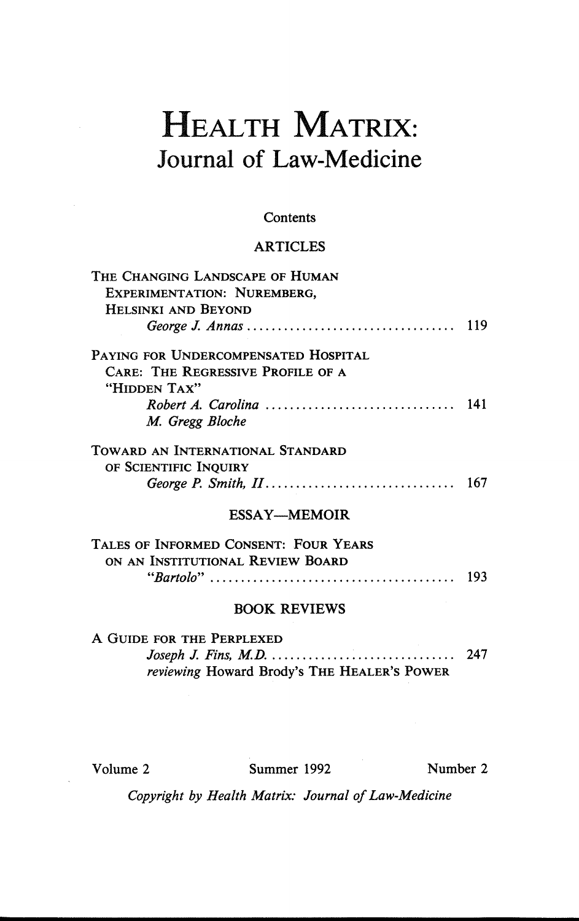## HEALTH MATRIX: Journal of Law-Medicine

### **Contents**

### ARTICLES

| <b>EXPERIMENTATION: NUREMBERG,</b><br>HELSINKI AND BEYOND<br>PAYING FOR UNDERCOMPENSATED HOSPITAL<br><b>CARE: THE REGRESSIVE PROFILE OF A</b><br>"HIDDEN TAX"<br>141<br>M. Gregg Bloche<br>TOWARD AN INTERNATIONAL STANDARD<br>OF SCIENTIFIC INQUIRY<br>167<br><b>ESSAY—MEMOIR</b><br>TALES OF INFORMED CONSENT: FOUR YEARS<br>ON AN INSTITUTIONAL REVIEW BOARD<br><b>BOOK REVIEWS</b><br>A GUIDE FOR THE PERPLEXED<br>reviewing Howard Brody's THE HEALER'S POWER | THE CHANGING LANDSCAPE OF HUMAN |  |
|--------------------------------------------------------------------------------------------------------------------------------------------------------------------------------------------------------------------------------------------------------------------------------------------------------------------------------------------------------------------------------------------------------------------------------------------------------------------|---------------------------------|--|
|                                                                                                                                                                                                                                                                                                                                                                                                                                                                    |                                 |  |
|                                                                                                                                                                                                                                                                                                                                                                                                                                                                    |                                 |  |
|                                                                                                                                                                                                                                                                                                                                                                                                                                                                    |                                 |  |
|                                                                                                                                                                                                                                                                                                                                                                                                                                                                    |                                 |  |
|                                                                                                                                                                                                                                                                                                                                                                                                                                                                    |                                 |  |
|                                                                                                                                                                                                                                                                                                                                                                                                                                                                    |                                 |  |
|                                                                                                                                                                                                                                                                                                                                                                                                                                                                    |                                 |  |
|                                                                                                                                                                                                                                                                                                                                                                                                                                                                    |                                 |  |
|                                                                                                                                                                                                                                                                                                                                                                                                                                                                    |                                 |  |
|                                                                                                                                                                                                                                                                                                                                                                                                                                                                    |                                 |  |
|                                                                                                                                                                                                                                                                                                                                                                                                                                                                    |                                 |  |
|                                                                                                                                                                                                                                                                                                                                                                                                                                                                    |                                 |  |
|                                                                                                                                                                                                                                                                                                                                                                                                                                                                    |                                 |  |
|                                                                                                                                                                                                                                                                                                                                                                                                                                                                    |                                 |  |
|                                                                                                                                                                                                                                                                                                                                                                                                                                                                    |                                 |  |
|                                                                                                                                                                                                                                                                                                                                                                                                                                                                    |                                 |  |
|                                                                                                                                                                                                                                                                                                                                                                                                                                                                    |                                 |  |
|                                                                                                                                                                                                                                                                                                                                                                                                                                                                    |                                 |  |
|                                                                                                                                                                                                                                                                                                                                                                                                                                                                    |                                 |  |

Volume 2 Summer 1992 Number 2

*Copyright by Health Matrix: Journal of Law-Medicine*